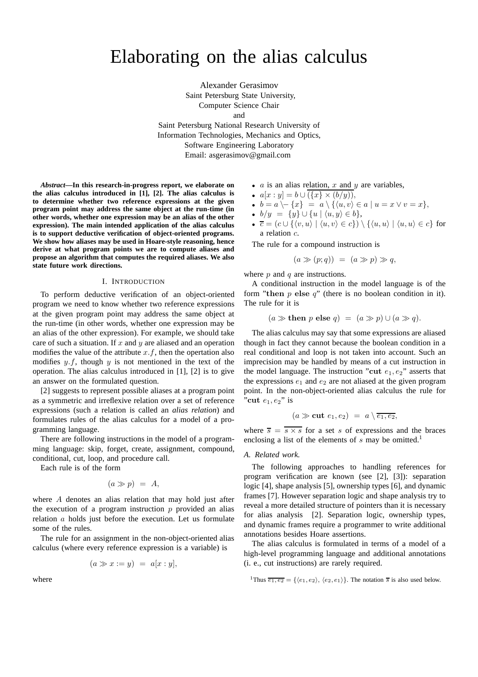# Elaborating on the alias calculus

Alexander Gerasimov

Saint Petersburg State University,

Computer Science Chair

and

Saint Petersburg National Research University of Information Technologies, Mechanics and Optics, Software Engineering Laboratory Email: asgerasimov@gmail.com

*Abstract***—In this research-in-progress report, we elaborate on the alias calculus introduced in [1], [2]. The alias calculus is to determine whether two reference expressions at the given program point may address the same object at the run-time (in other words, whether one expression may be an alias of the other expression). The main intended application of the alias calculus is to support deductive verification of object-oriented programs. We show how aliases may be used in Hoare-style reasoning, hence derive at what program points we are to compute aliases and propose an algorithm that computes the required aliases. We also state future work directions.**

#### I. INTRODUCTION

To perform deductive verification of an object-oriented program we need to know whether two reference expressions at the given program point may address the same object at the run-time (in other words, whether one expression may be an alias of the other expression). For example, we should take care of such a situation. If x and y are aliased and an operation modifies the value of the attribute  $x.f$ , then the opertation also modifies  $y.f$ , though  $y$  is not mentioned in the text of the operation. The alias calculus introduced in [1], [2] is to give an answer on the formulated question.

[2] suggests to represent possible aliases at a program point as a symmetric and irreflexive relation over a set of reference expressions (such a relation is called an *alias relation*) and formulates rules of the alias calculus for a model of a programming language.

There are following instructions in the model of a programming language: skip, forget, create, assignment, compound, conditional, cut, loop, and procedure call.

Each rule is of the form

$$
(a \gg p) = A,
$$

where A denotes an alias relation that may hold just after the execution of a program instruction  $p$  provided an alias relation a holds just before the execution. Let us formulate some of the rules.

The rule for an assignment in the non-object-oriented alias calculus (where every reference expression is a variable) is

$$
(a \gg x := y) = a[x : y],
$$

where

- $\alpha$  is an alias relation,  $x$  and  $y$  are variables,
- $a[x:y] = b \cup \overline{(\{x\} \times (b/y))},$
- $b = a \setminus \{x\} = a \setminus \{ \langle u, v \rangle \in a \mid u = x \vee v = x \},\$
- $b/y = \{y\} \cup \{u \mid \langle u, y \rangle \in b\},\$
- $\overline{c} = (c \cup \{ \langle v, u \rangle \mid \langle u, v \rangle \in c \}) \setminus \{ \langle u, u \rangle \mid \langle u, u \rangle \in c \}$  for a relation c.

The rule for a compound instruction is

$$
(a \gg (p;q)) = (a \gg p) \gg q,
$$

where  $p$  and  $q$  are instructions.

A conditional instruction in the model language is of the form "then  $p$  else  $q$ " (there is no boolean condition in it). The rule for it is

$$
(a \gg \text{then } p \text{ else } q) = (a \gg p) \cup (a \gg q).
$$

The alias calculus may say that some expressions are aliased though in fact they cannot because the boolean condition in a real conditional and loop is not taken into account. Such an imprecision may be handled by means of a cut instruction in the model language. The instruction "cut  $e_1, e_2$ " asserts that the expressions  $e_1$  and  $e_2$  are not aliased at the given program point. In the non-object-oriented alias calculus the rule for "cut  $e_1, e_2$ " is

$$
(a \gg \text{cut } e_1, e_2) = a \setminus \overline{e_1, e_2},
$$

where  $\overline{s} = \overline{s \times s}$  for a set s of expressions and the braces enclosing a list of the elements of  $s$  may be omitted.<sup>1</sup>

### *A. Related work.*

The following approaches to handling references for program verification are known (see [2], [3]): separation logic [4], shape analysis [5], ownership types [6], and dynamic frames [7]. However separation logic and shape analysis try to reveal a more detailed structure of pointers than it is necessary for alias analysis [2]. Separation logic, ownership types, and dynamic frames require a programmer to write additional annotations besides Hoare assertions.

The alias calculus is formulated in terms of a model of a high-level programming language and additional annotations (i. e., cut instructions) are rarely required.

<sup>&</sup>lt;sup>1</sup>Thus  $\overline{e_1, e_2} = \{ \langle e_1, e_2 \rangle, \langle e_2, e_1 \rangle \}$ . The notation  $\overline{s}$  is also used below.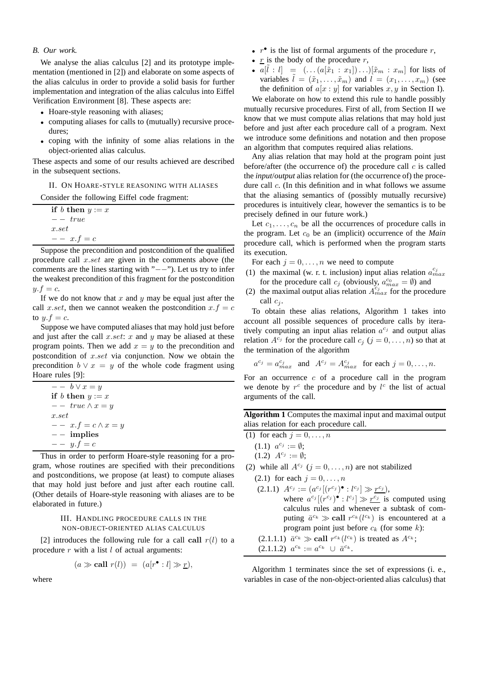## *B. Our work.*

We analyse the alias calculus [2] and its prototype implementation (mentioned in [2]) and elaborate on some aspects of the alias calculus in order to provide a solid basis for further implementation and integration of the alias calculus into Eiffel Verification Environment [8]. These aspects are:

- Hoare-style reasoning with aliases;
- computing aliases for calls to (mutually) recursive procedures;
- coping with the infinity of some alias relations in the object-oriented alias calculus.

These aspects and some of our results achieved are described in the subsequent sections.

II. ON HOARE-STYLE REASONING WITH ALIASES

Consider the following Eiffel code fragment:

| if b then $y := x$ |
|--------------------|
| $- - true$         |
| x.set              |
| $x.f = c$          |

Suppose the precondition and postcondition of the qualified procedure call  $x.set$  are given in the comments above (the comments are the lines starting with "−−"). Let us try to infer the weakest precondition of this fragment for the postcondition  $y.f = c.$ 

If we do not know that  $x$  and  $y$  may be equal just after the call x.set, then we cannot weaken the postcondition  $x.f = c$ to  $y.f = c$ .

Suppose we have computed aliases that may hold just before and just after the call  $x.set: x$  and  $y$  may be aliased at these program points. Then we add  $x = y$  to the precondition and postcondition of  $x.set$  via conjunction. Now we obtain the precondition  $b \vee x = y$  of the whole code fragment using Hoare rules [9]:

$$
-b \lor x = y
$$
  
if b then y := x  

$$
-true \land x = y
$$
  
x.set  

$$
--x.f = c \land x = y
$$

$$
-- implies
$$

$$
--y.f = c
$$

Thus in order to perform Hoare-style reasoning for a program, whose routines are specified with their preconditions and postconditions, we propose (at least) to compute aliases that may hold just before and just after each routine call. (Other details of Hoare-style reasoning with aliases are to be elaborated in future.)

## III. HANDLING PROCEDURE CALLS IN THE NON-OBJECT-ORIENTED ALIAS CALCULUS

[2] introduces the following rule for a call call  $r(l)$  to a procedure  $r$  with a list  $l$  of actual arguments:

$$
(a \gg \text{call } r(l)) = (a[r^{\bullet} : l] \gg \underline{r}),
$$

where

- $r^{\bullet}$  is the list of formal arguments of the procedure r,
- $r$  is the body of the procedure  $r$ ,
- $a[\tilde{l} : l] = (\ldots (a[\tilde{x}_1 : x_1]) \ldots) [\tilde{x}_m : x_m]$  for lists of variables  $\tilde{l} = (\tilde{x}_1, \ldots, \tilde{x}_m)$  and  $l = (x_1, \ldots, x_m)$  (see the definition of  $a[x:y]$  for variables  $x, y$  in Section I).

We elaborate on how to extend this rule to handle possibly mutually recursive procedures. First of all, from Section II we know that we must compute alias relations that may hold just before and just after each procedure call of a program. Next we introduce some definitions and notation and then propose an algorithm that computes required alias relations.

Any alias relation that may hold at the program point just before/after (the occurrence of) the procedure call  $c$  is called the *input*/*output* alias relation for (the occurrence of) the procedure call c. (In this definition and in what follows we assume that the aliasing semantics of (possibly mutually recursive) procedures is intuitively clear, however the semantics is to be precisely defined in our future work.)

Let  $c_1, \ldots, c_n$  be all the occurrences of procedure calls in the program. Let  $c_0$  be an (implicit) occurrence of the *Main* procedure call, which is performed when the program starts its execution.

For each  $j = 0, \ldots, n$  we need to compute

- (1) the maximal (w. r. t. inclusion) input alias relation  $a_{max}^{c_j}$ for the procedure call  $c_j$  (obviously,  $a_{max}^{c_0} = \emptyset$ ) and
- (2) the maximal output alias relation  $A^{c_j}_{max}$  for the procedure call  $c_i$ .

To obtain these alias relations, Algorithm 1 takes into account all possible sequences of procedure calls by iteratively computing an input alias relation  $a^{c_j}$  and output alias relation  $A^{c_j}$  for the procedure call  $c_j$   $(j = 0, \ldots, n)$  so that at the termination of the algorithm

$$
a^{c_j} = a^{c_j}_{max}
$$
 and  $A^{c_j} = A^{c_j}_{max}$  for each  $j = 0, ..., n$ .

For an occurrence  $c$  of a procedure call in the program we denote by  $r^c$  the procedure and by  $l^c$  the list of actual arguments of the call.

**Algorithm 1** Computes the maximal input and maximal output alias relation for each procedure call.

(1) for each  $j = 0, \ldots, n$  $(1.1) \ \ a^{c_j} := \emptyset;$  $(1.2)$   $A^{c_j} := \emptyset;$ 

(2) while all  $A^{c_j}$   $(j = 0, \ldots, n)$  are not stabilized

- (2.1) for each  $j = 0, ..., n$
- $(2.1.1)$   $A^{c_j} := (a^{c_j}[(r^{c_j})^{\bullet} : l^{c_j}] \gg r^{c_j}),$ where  $a^{c_j}[(r^{c_j})^{\bullet}: l^{c_j}] \gg r^{\overline{c_j}}$  is computed using calculus rules and whenever a subtask of computing  $\bar{a}^{c_k} \gg \text{call } r^{c_k}(l^{c_k})$  is encountered at a program point just before  $c_k$  (for some k):  $(2.1.1.1)$   $\bar{a}^{c_k} \gg$  call  $r^{c_k}(l^{c_k})$  is treated as  $A^{c_k}$ ;

 $(2.1.1.2) \ \ a^{c_k} := a^{c_k} \ \cup \ \bar{a}^{c_k}.$ 

Algorithm 1 terminates since the set of expressions (i. e., variables in case of the non-object-oriented alias calculus) that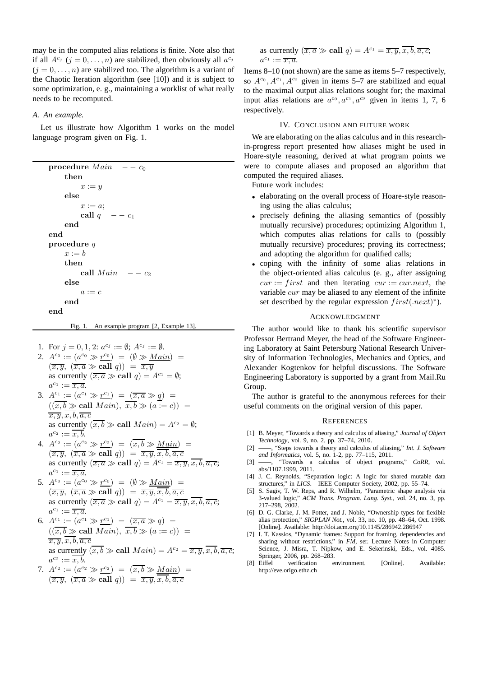may be in the computed alias relations is finite. Note also that if all  $A^{c_j}$   $(j = 0, \ldots, n)$  are stabilized, then obviously all  $a^{c_j}$  $(j = 0, \ldots, n)$  are stabilized too. The algorithm is a variant of the Chaotic Iteration algorithm (see [10]) and it is subject to some optimization, e. g., maintaining a worklist of what really needs to be recomputed.

## *A. An example.*

Let us illustrate how Algorithm 1 works on the model language program given on Fig. 1.

procedure  $Main \t - -c_0$ then  $x := y$ else  $x := a;$ call  $q \quad -c_1$ end end procedure q  $x := b$ then call  $Main$  – –  $c_2$ else  $a := c$ end end

Fig. 1. An example program [2, Example 13].

- 1. For  $j = 0, 1, 2$ :  $a^{c_j} := \emptyset$ ;  $A^{c_j} := \emptyset$ .
- 2.  $A^{c_0} := (a^{c_0} \gg r^{c_0}) = (\emptyset \gg \underline{Main}) =$  $(\overline{x,y}, (\overline{x,a} \gg \text{call } q)) = \overline{x,y}$ as currently  $(\overline{x}, \overline{a} \gg \text{call } q) = A^{c_1} = \emptyset$ ;  $a^{c_1} := \overline{x, a}.$
- 3.  $A^{c_1} := (a^{c_1} \gg r^{c_1}) = (\overline{x, a} \gg q) =$  $((\overline{x}, \overline{b} \gg \text{call } \text{Main}), \overline{x}, \overline{b} \gg (a := c))$  =  $\overline{x,y},\overline{x,b},\overline{a,c}$ as currently  $(\overline{x,b} \gg \text{call } Main) = A^{c_2} = \emptyset$ ;  $a^{c_2} := \overline{x, b}.$
- 4.  $A^{c_2} := (a^{c_2} \gg r^{c_2}) = (\overline{x, b} \gg \underline{Main}) =$  $(\overline{x,y}, (\overline{x,a} \gg \text{call } q)) = \overline{x,y}, \overline{x,b}, \overline{a,c}$ as currently  $(\overline{x, a} \gg \text{call } q) = A^{c_1} = \overline{x, y}, \overline{x, b}, \overline{a, c};$  $a^{c_1} := \overline{x, a}.$
- 5.  $A^{c_0} := (a^{c_0} \gg r^{c_0}) = (\emptyset \gg \underline{Main}) =$  $(\overline{x,y}, (\overline{x,a} \gg \text{call } q)) = \overline{x,y}, \overline{x,b}, \overline{a,c}$ as currently  $(\overline{x, a} \gg \text{call } q) = A^{c_1} = \overline{x, y}, \overline{x, b}, \overline{a, c};$  $a^{c_1} := \overline{x, a}.$
- 6.  $A^{c_1} := (a^{c_1} \gg r^{c_1}) = (\overline{x, a} \gg q) =$  $((\overline{x}, \overline{b} \gg \text{call } Main), \overline{x}, \overline{b} \gg (a := c))$  =  $\overline{x,y},\overline{x,b},\overline{a,c}$ as currently  $(\overline{x,b} \gg \text{call } Main) = A^{c_2} = \overline{x,y}, \overline{x,b}, \overline{a,c};$  $a^{c_2} := \overline{x, b}.$
- 7.  $A^{c_2} := (a^{c_2} \gg r^{c_2}) = (\overline{x, b} \gg \underline{Main}) =$  $(\overline{x}, \overline{y}, (\overline{x}, \overline{a} \gg \text{call } q)) = \overline{x}, \overline{y}, \overline{x}, \overline{b}, \overline{a}, \overline{c}$

as currently  $(\overline{x}, \overline{a} \gg \text{call } q) = A^{c_1} = \overline{x, y}, \overline{x, b}, \overline{a, c};$  $a^{c_1} := \overline{x, a}.$ 

Items 8–10 (not shown) are the same as items 5–7 respectively, so  $A^{c_0}, A^{c_1}, A^{c_2}$  given in items 5–7 are stabilized and equal to the maximal output alias relations sought for; the maximal input alias relations are  $a^{c_0}, a^{c_1}, a^{c_2}$  given in items 1, 7, 6 respectively.

## IV. CONCLUSION AND FUTURE WORK

We are elaborating on the alias calculus and in this researchin-progress report presented how aliases might be used in Hoare-style reasoning, derived at what program points we were to compute aliases and proposed an algorithm that computed the required aliases.

Future work includes:

- elaborating on the overall process of Hoare-style reasoning using the alias calculus;
- precisely defining the aliasing semantics of (possibly mutually recursive) procedures; optimizing Algorithm 1, which computes alias relations for calls to (possibly mutually recursive) procedures; proving its correctness; and adopting the algorithm for qualified calls;
- coping with the infinity of some alias relations in the object-oriented alias calculus (e. g., after assigning  $cur := first$  and then iterating  $cur := cur.next$ , the variable cur may be aliased to any element of the infinite set described by the regular expression  $first(next)^{*}$ ).

### ACKNOWLEDGMENT

The author would like to thank his scientific supervisor Professor Bertrand Meyer, the head of the Software Engineering Laboratory at Saint Petersburg National Research University of Information Technologies, Mechanics and Optics, and Alexander Kogtenkov for helpful discussions. The Software Engineering Laboratory is supported by a grant from Mail.Ru Group.

The author is grateful to the anonymous referees for their useful comments on the original version of this paper.

#### **REFERENCES**

- [1] B. Meyer, "Towards a theory and calculus of aliasing," *Journal of Object Technology*, vol. 9, no. 2, pp. 37–74, 2010.
- [2] ——, "Steps towards a theory and calculus of aliasing," *Int. J. Software and Informatics*, vol. 5, no. 1-2, pp. 77–115, 2011.
- [3] ——, "Towards a calculus of object programs," *CoRR*, vol. abs/1107.1999, 2011.
- [4] J. C. Reynolds, "Separation logic: A logic for shared mutable data structures," in *LICS*. IEEE Computer Society, 2002, pp. 55–74.
- [5] S. Sagiv, T. W. Reps, and R. Wilhelm, "Parametric shape analysis via 3-valued logic," *ACM Trans. Program. Lang. Syst.*, vol. 24, no. 3, pp. 217–298, 2002.
- [6] D. G. Clarke, J. M. Potter, and J. Noble, "Ownership types for flexible alias protection," *SIGPLAN Not.*, vol. 33, no. 10, pp. 48–64, Oct. 1998. [Online]. Available: http://doi.acm.org/10.1145/286942.286947
- [7] I. T. Kassios, "Dynamic frames: Support for framing, dependencies and sharing without restrictions," in *FM*, ser. Lecture Notes in Computer Science, J. Misra, T. Nipkow, and E. Sekerinski, Eds., vol. 4085. Springer, 2006, pp. 268–283.
- [8] Eiffel verification environment. [Online]. Available: http://eve.origo.ethz.ch